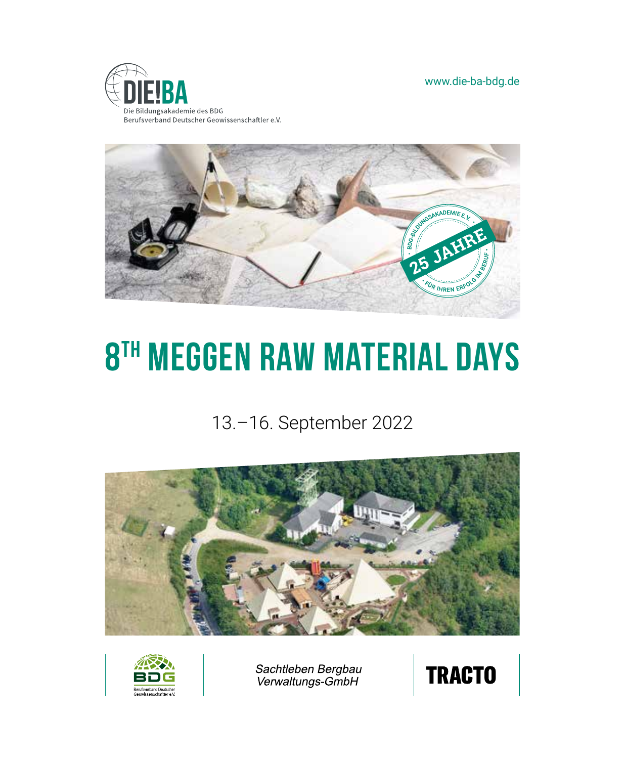www.die-ba-bdg.de





# **8th Meggen Raw material days**

# 13.–16. September 2022





Sachtleben Bergbau<br>Verwaltungs-GmbH

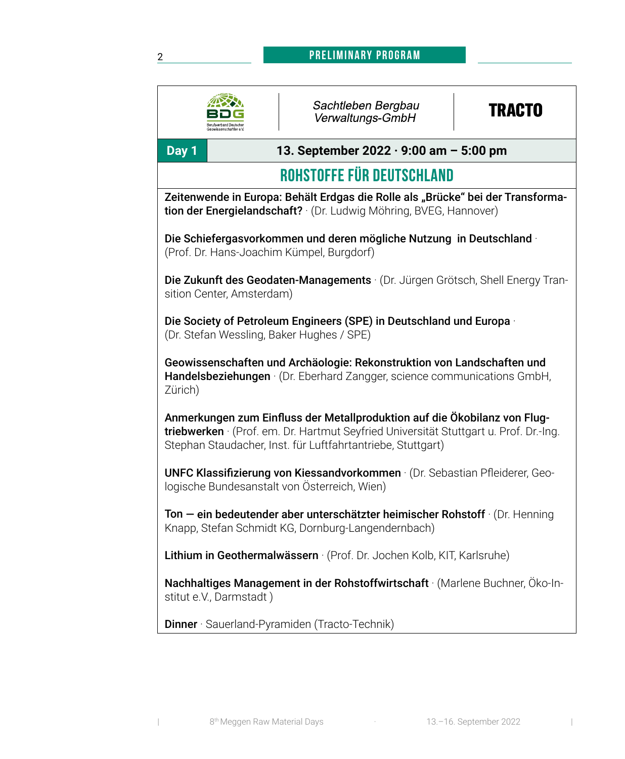#### **Preliminary Program**

|                                                                                                                                                                                                                                   | Sachtleben Bergbau<br>Verwaltungs-GmbH | <b>TRACTO</b> |  |  |
|-----------------------------------------------------------------------------------------------------------------------------------------------------------------------------------------------------------------------------------|----------------------------------------|---------------|--|--|
| Day 1<br>13. September 2022 $\cdot$ 9:00 am - 5:00 pm                                                                                                                                                                             |                                        |               |  |  |
| ROHSTOFFE FÜR DEUTSCHLAND                                                                                                                                                                                                         |                                        |               |  |  |
| Zeitenwende in Europa: Behält Erdgas die Rolle als "Brücke" bei der Transforma-<br>tion der Energielandschaft? (Dr. Ludwig Möhring, BVEG, Hannover)                                                                               |                                        |               |  |  |
| Die Schiefergasvorkommen und deren mögliche Nutzung in Deutschland ·<br>(Prof. Dr. Hans-Joachim Kümpel, Burgdorf)                                                                                                                 |                                        |               |  |  |
| Die Zukunft des Geodaten-Managements · (Dr. Jürgen Grötsch, Shell Energy Tran-<br>sition Center, Amsterdam)                                                                                                                       |                                        |               |  |  |
| Die Society of Petroleum Engineers (SPE) in Deutschland und Europa ·<br>(Dr. Stefan Wessling, Baker Hughes / SPE)                                                                                                                 |                                        |               |  |  |
| Geowissenschaften und Archäologie: Rekonstruktion von Landschaften und<br>Handelsbeziehungen · (Dr. Eberhard Zangger, science communications GmbH,<br>Zürich)                                                                     |                                        |               |  |  |
| Anmerkungen zum Einfluss der Metallproduktion auf die Ökobilanz von Flug-<br>triebwerken · (Prof. em. Dr. Hartmut Seyfried Universität Stuttgart u. Prof. Dr.-Ing.<br>Stephan Staudacher, Inst. für Luftfahrtantriebe, Stuttgart) |                                        |               |  |  |
| UNFC Klassifizierung von Kiessandvorkommen · (Dr. Sebastian Pfleiderer, Geo-<br>logische Bundesanstalt von Österreich, Wien)                                                                                                      |                                        |               |  |  |
| Ton - ein bedeutender aber unterschätzter heimischer Rohstoff · (Dr. Henning<br>Knapp, Stefan Schmidt KG, Dornburg-Langendernbach)                                                                                                |                                        |               |  |  |
| Lithium in Geothermalwässern · (Prof. Dr. Jochen Kolb, KIT, Karlsruhe)                                                                                                                                                            |                                        |               |  |  |
| Nachhaltiges Management in der Rohstoffwirtschaft · (Marlene Buchner, Öko-In-<br>stitut e.V., Darmstadt)                                                                                                                          |                                        |               |  |  |
| Dinner · Sauerland-Pyramiden (Tracto-Technik)                                                                                                                                                                                     |                                        |               |  |  |
|                                                                                                                                                                                                                                   |                                        |               |  |  |

2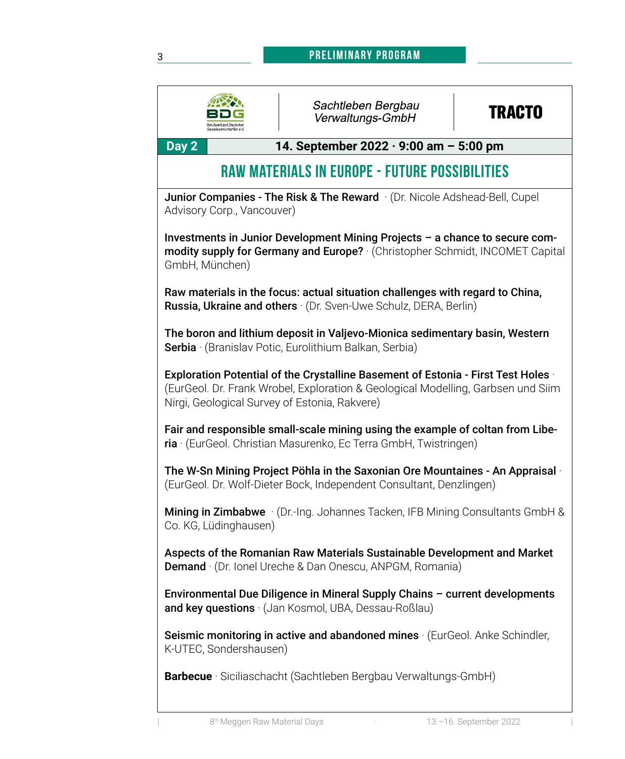#### 3 **mustertext Preliminary Program**



#### Sachtleben Bergbau Verwaltungs-GmbH

## **TRACTO**

**Day 2 14. September 2022 · 9:00 am – 5:00 pm**

## **Raw Materials in Europe - Future Possibilities**

Junior Companies - The Risk & The Reward · (Dr. Nicole Adshead-Bell, Cupel) Advisory Corp., Vancouver)

Investments in Junior Development Mining Projects – a chance to secure commodity supply for Germany and Europe? · (Christopher Schmidt, INCOMET Capital GmbH, München)

Raw materials in the focus: actual situation challenges with regard to China, Russia, Ukraine and others · (Dr. Sven-Uwe Schulz, DERA, Berlin)

The boron and lithium deposit in Valjevo-Mionica sedimentary basin, Western Serbia · (Branislav Potic, Eurolithium Balkan, Serbia)

Exploration Potential of the Crystalline Basement of Estonia - First Test Holes · (EurGeol. Dr. Frank Wrobel, Exploration & Geological Modelling, Garbsen und Siim Nirgi, Geological Survey of Estonia, Rakvere)

Fair and responsible small-scale mining using the example of coltan from Liberia · (EurGeol. Christian Masurenko, Ec Terra GmbH, Twistringen)

The W-Sn Mining Project Pöhla in the Saxonian Ore Mountaines - An Appraisal · (EurGeol. Dr. Wolf-Dieter Bock, Independent Consultant, Denzlingen)

Mining in Zimbabwe · (Dr.-Ing. Johannes Tacken, IFB Mining Consultants GmbH & Co. KG, Lüdinghausen)

Aspects of the Romanian Raw Materials Sustainable Development and Market Demand · (Dr. Ionel Ureche & Dan Onescu, ANPGM, Romania)

Environmental Due Diligence in Mineral Supply Chains – current developments and key questions · (Jan Kosmol, UBA, Dessau-Roßlau)

Seismic monitoring in active and abandoned mines (EurGeol. Anke Schindler, K-UTEC, Sondershausen)

**Barbecue** · Siciliaschacht (Sachtleben Bergbau Verwaltungs-GmbH)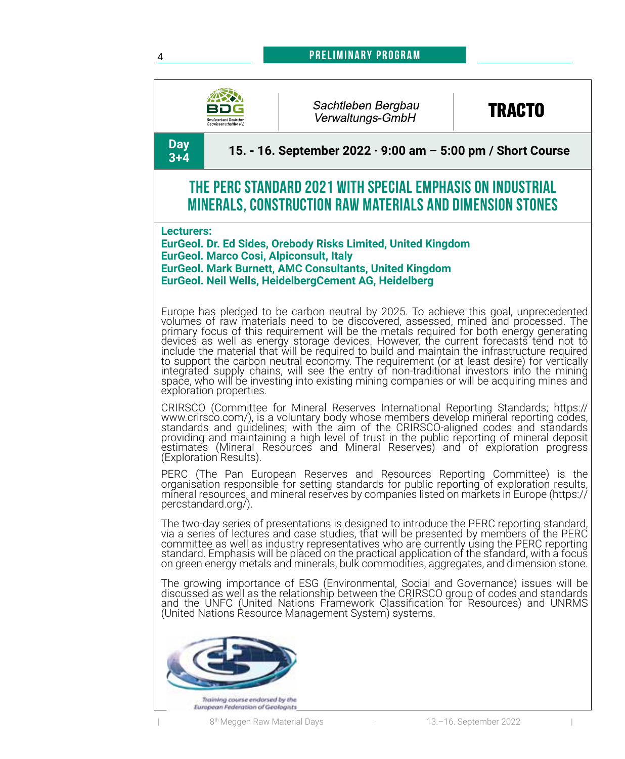#### 4 **mustertext Preliminary Program**





#### Sachtleben Bergbau Verwaltungs-GmbH

## **TRACTO**

**Day** 

**3+4 15. - 16. September 2022 · 9:00 am – 5:00 pm / Short Course**

### **The PERC Standard 2021 with special emphasis on industrial minerals, construction raw materials and dimension stones**

**Lecturers:**

**EurGeol. Dr. Ed Sides, Orebody Risks Limited, United Kingdom EurGeol. Marco Cosi, Alpiconsult, Italy EurGeol. Mark Burnett, AMC Consultants, United Kingdom EurGeol. Neil Wells, HeidelbergCement AG, Heidelberg**

Europe has pledged to be carbon neutral by 2025. To achieve this goal, unprecedented volumes of raw materials need to be discovered, assessed, mined and processed. The<br>primary focus of this requirement will be the metals required for both energy generating<br>devices as well as energy storage devices. However integrated supply chains, will see the entry of non-traditional investors into the mining space, who will be investing into existing mining companies or will be acquiring mines and exploration properties.

CRIRSCO (Committee for Mineral Reserves International Reporting Standards; https:// www.crirsco.com/), is a voluntary body whose members develop mineral reporting codes, standards and guidelines; with the aim of the CRIRSCO-aligned codes and standards<br>providing and maintaining a high level of trust in the public reporting of mineral deposit<br>estimates (Mineral Resources and Mineral Reserves (Exploration Results).

PERC (The Pan European Reserves and Resources Reporting Committee) is the organisation responsible for setting standards for public reporting of exploration results, mineral resources, and mineral reserves by companies listed on markets in Europe (https:// percstandard.org/).

The two-day series of presentations is designed to introduce the PERC reporting standard, via a series of lectures and case studies, that will be presented by members of the PERC committee as well as industry representatives who are currently using the PERC reporting standard. Emphasis will be placed on the practical application of the standard, with a focus on green energy metals and minerals, bulk commodities, aggregates, and dimension stone.

The growing importance of ESG (Environmental, Social and Governance) issues will be discussed as well as the relationship between the CRIRSCO group of codes and standards and the UNFC (United Nations Framework Classification for Resources) and UNRMS<br>(United Nations Resource Management System) systems.

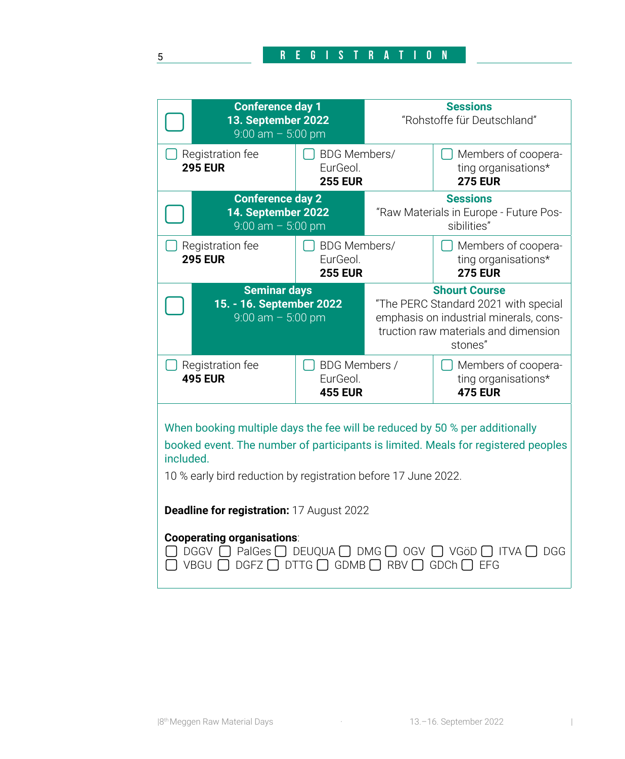